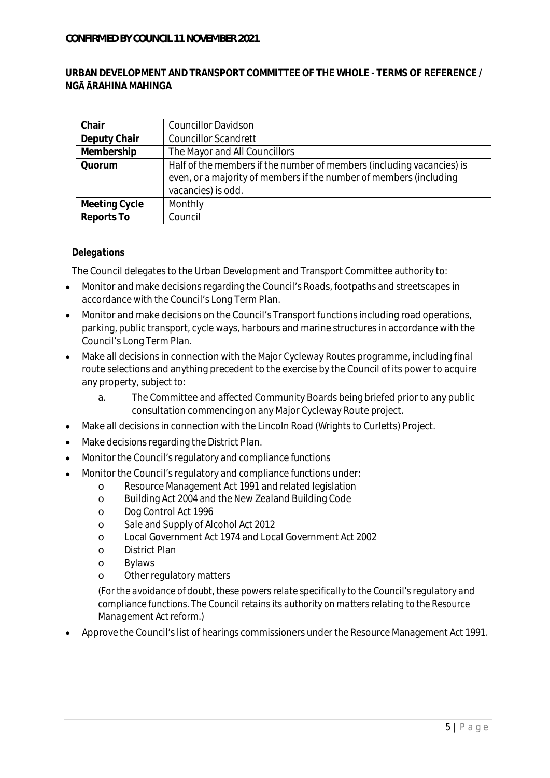### **URBAN DEVELOPMENT AND TRANSPORT COMMITTEE OF THE WHOLE - TERMS OF REFERENCE / NG RAHINA MAHINGA**

| Chair         | <b>Councillor Davidson</b>                                            |
|---------------|-----------------------------------------------------------------------|
| Deputy Chair  | <b>Councillor Scandrett</b>                                           |
| Membership    | The Mayor and All Councillors                                         |
| Quorum        | Half of the members if the number of members (including vacancies) is |
|               | even, or a majority of members if the number of members (including    |
|               | vacancies) is odd.                                                    |
| Meeting Cycle | Monthly                                                               |
| Reports To    | Council                                                               |

# *Delegations*

The Council delegates to the Urban Development and Transport Committee authority to:

- $\bullet$ Monitor and make decisions regarding the Council's Roads, footpaths and streetscapes in accordance with the Council's Long Term Plan.
- Monitor and make decisions on the Council's Transport functions including road operations, parking, public transport, cycle ways, harbours and marine structures in accordance with the Council's Long Term Plan.
- Make all decisions in connection with the Major Cycleway Routes programme, including final  $\bullet$ route selections and anything precedent to the exercise by the Council of its power to acquire any property, subject to:
	- a. The Committee and affected Community Boards being briefed prior to any public consultation commencing on any Major Cycleway Route project.
- Make all decisions in connection with the Lincoln Road (Wrights to Curletts) Project.  $\bullet$
- Make decisions regarding the District Plan.  $\bullet$
- Monitor the Council's regulatory and compliance functions
- Monitor the Council's regulatory and compliance functions under:
	- o Resource Management Act 1991 and related legislation
	- o Building Act 2004 and the New Zealand Building Code
	- o Dog Control Act 1996
	- o Sale and Supply of Alcohol Act 2012
	- o Local Government Act 1974 and Local Government Act 2002
	- o District Plan
	- o Bylaws
	- o Other regulatory matters

*(For the avoidance of doubt, these powers relate specifically to the Council's regulatory and compliance functions. The Council retains its authority on matters relating to the Resource Management Act reform.)*

Approve the Council's list of hearings commissioners under the Resource Management Act 1991.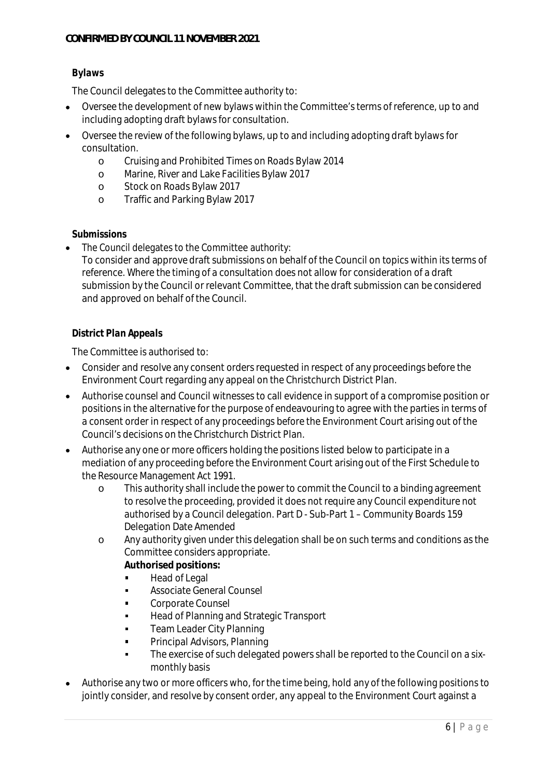## *Bylaws*

The Council delegates to the Committee authority to:

- Oversee the development of new bylaws within the Committee's terms of reference, up to and including adopting draft bylaws for consultation.
- Oversee the review of the following bylaws, up to and including adopting draft bylaws for consultation.
	- o Cruising and Prohibited Times on Roads Bylaw 2014
	- o Marine, River and Lake Facilities Bylaw 2017
	- o Stock on Roads Bylaw 2017
	- o Traffic and Parking Bylaw 2017

### *Submissions*

The Council delegates to the Committee authority:

To consider and approve draft submissions on behalf of the Council on topics within its terms of reference. Where the timing of a consultation does not allow for consideration of a draft submission by the Council or relevant Committee, that the draft submission can be considered and approved on behalf of the Council.

### *District Plan Appeals*

The Committee is authorised to:

- Consider and resolve any consent orders requested in respect of any proceedings before the Environment Court regarding any appeal on the Christchurch District Plan.
- Authorise counsel and Council witnesses to call evidence in support of a compromise position or positions in the alternative for the purpose of endeavouring to agree with the parties in terms of a consent order in respect of any proceedings before the Environment Court arising out of the Council's decisions on the Christchurch District Plan.
- Authorise any one or more officers holding the positions listed below to participate in a mediation of any proceeding before the Environment Court arising out of the First Schedule to the Resource Management Act 1991.
	- o This authority shall include the power to commit the Council to a binding agreement to resolve the proceeding, provided it does not require any Council expenditure not authorised by a Council delegation. Part D - Sub-Part 1 – Community Boards 159 Delegation Date Amended
	- o Any authority given under this delegation shall be on such terms and conditions as the Committee considers appropriate.
		- **Authorised positions:**
		- Head of Legal  $\blacksquare$
		- $\blacksquare$ Associate General Counsel
		- Corporate Counsel  $\blacksquare$
		- Head of Planning and Strategic Transport  $\blacksquare$
		- $\blacksquare$ Team Leader City Planning
		- $\blacksquare$ Principal Advisors, Planning
		- The exercise of such delegated powers shall be reported to the Council on a six- $\blacksquare$ monthly basis
- Authorise any two or more officers who, for the time being, hold any of the following positions to jointly consider, and resolve by consent order, any appeal to the Environment Court against a